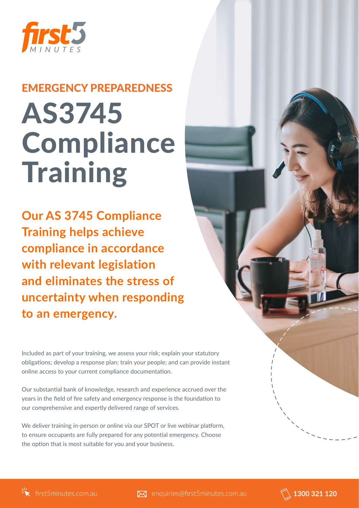

# AS3745 Compliance **Training** EMERGENCY PREPAREDNESS

**Our AS 3745 Compliance Training helps achieve compliance in accordance with relevant legislation and eliminates the stress of uncertainty when responding to an emergency.**

Included as part of your training, we assess your risk; explain your statutory obligations; develop a response plan; train your people; and can provide instant online access to your current compliance documentation.

Our substantial bank of knowledge, research and experience accrued over the years in the field of fire safety and emergency response is the foundation to our comprehensive and expertly delivered range of services.

We deliver training in-person or online via our SPOT or live webinar platform, to ensure occupants are fully prepared for any potential emergency. Choose the option that is most suitable for you and your business.